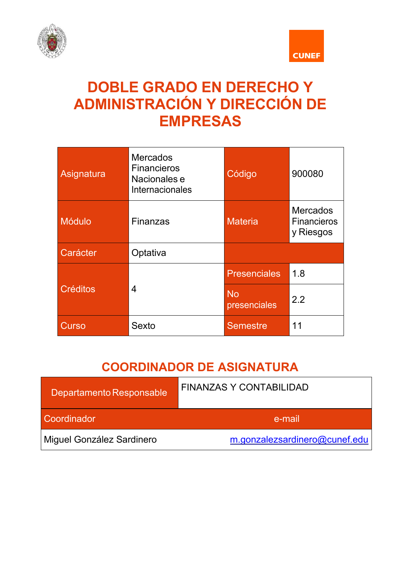



# **DOBLE GRADO EN DERECHO Y ADMINISTRACIÓN Y DIRECCIÓN DE EMPRESAS**

| Asignatura      | <b>Mercados</b><br><b>Financieros</b><br>Nacionales e<br>Internacionales | Código                    | 900080                                             |
|-----------------|--------------------------------------------------------------------------|---------------------------|----------------------------------------------------|
| <b>Módulo</b>   | Finanzas                                                                 | <b>Materia</b>            | <b>Mercados</b><br><b>Financieros</b><br>y Riesgos |
| Carácter        | Optativa                                                                 |                           |                                                    |
| <b>Créditos</b> | $\overline{4}$                                                           | <b>Presenciales</b>       | 1.8                                                |
|                 |                                                                          | <b>No</b><br>presenciales | 2.2                                                |
| Curso           | Sexto                                                                    | <b>Semestre</b>           | 11                                                 |

# **COORDINADOR DE ASIGNATURA**

| Departamento Responsable  | <b>FINANZAS Y CONTABILIDAD</b> |
|---------------------------|--------------------------------|
| Coordinador               | e-mail                         |
| Miguel González Sardinero | m.gonzalezsardinero@cunef.edu  |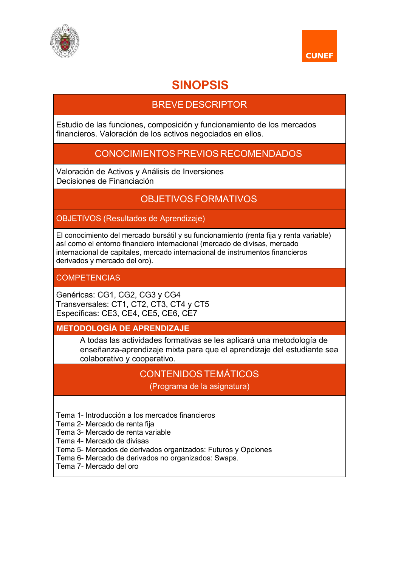



## **SINOPSIS**

## BREVE DESCRIPTOR

Estudio de las funciones, composición y funcionamiento de los mercados financieros. Valoración de los activos negociados en ellos.

## CONOCIMIENTOS PREVIOS RECOMENDADOS

Valoración de Activos y Análisis de Inversiones Decisiones de Financiación

## OBJETIVOS FORMATIVOS

OBJETIVOS (Resultados de Aprendizaje)

El conocimiento del mercado bursátil y su funcionamiento (renta fija y renta variable) así como el entorno financiero internacional (mercado de divisas, mercado internacional de capitales, mercado internacional de instrumentos financieros derivados y mercado del oro).

**COMPETENCIAS** 

Genéricas: CG1, CG2, CG3 y CG4 Transversales: CT1, CT2, CT3, CT4 y CT5 Específicas: CE3, CE4, CE5, CE6, CE7

**METODOLOGÍA DE APRENDIZAJE**

A todas las actividades formativas se les aplicará una metodología de enseñanza-aprendizaje mixta para que el aprendizaje del estudiante sea colaborativo y cooperativo.

## CONTENIDOSTEMÁTICOS

(Programa de la asignatura)

Tema 1- Introducción a los mercados financieros

Tema 2- Mercado de renta fija

Tema 3- Mercado de renta variable

Tema 4- Mercado de divisas

Tema 5- Mercados de derivados organizados: Futuros y Opciones

Tema 6- Mercado de derivados no organizados: Swaps.

Tema 7- Mercado del oro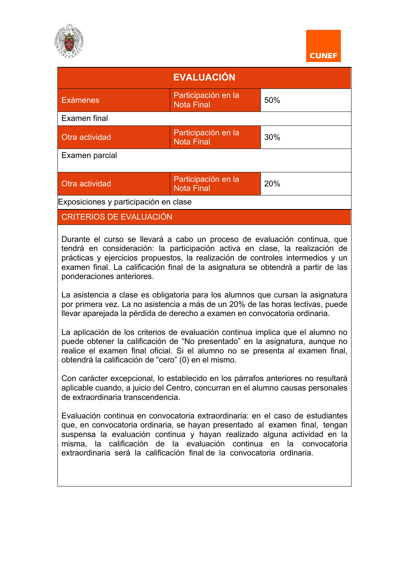



| <b>EVALUACIÓN</b>                     |                                          |     |
|---------------------------------------|------------------------------------------|-----|
| <b>Exámenes</b>                       | Participación en la<br><b>Nota Final</b> | 50% |
| Examen final                          |                                          |     |
| Otra actividad                        | Participación en la<br><b>Nota Final</b> | 30% |
| Examen parcial                        |                                          |     |
| Otra actividad                        | Participación en la<br><b>Nota Final</b> | 20% |
| Exposiciones y participación en clase |                                          |     |
| <b>CRITERIOS DE EVALUACIÓN</b>        |                                          |     |

Durante el curso se llevará a cabo un proceso de evaluación continua, que tendrá en consideración: la participación activa en clase, la realización de prácticas y ejercicios propuestos, la realización de controles intermedios y un examen final. La calificación final de la asignatura se obtendrá a partir de las ponderaciones anteriores.

La asistencia a clase es obligatoria para los alumnos que cursan la asignatura por primera vez. La no asistencia a más de un 20% de las horas lectivas, puede llevar aparejada la pérdida de derecho a examen en convocatoria ordinaria.

La aplicación de los criterios de evaluación continua implica que el alumno no puede obtener la calificación de "No presentado" en la asignatura, aunque no realice el examen final oficial. Si el alumno no se presenta al examen final, obtendrá la calificación de "cero" (0) en el mismo.

Con carácter excepcional, lo establecido en los párrafos anteriores no resultará aplicable cuando, a juicio del Centro, concurran en el alumno causas personales de extraordinaria transcendencia.

Evaluación continua en convocatoria extraordinaria: en el caso de estudiantes que, en convocatoria ordinaria, se hayan presentado al examen final, tengan suspensa la evaluación continua y hayan realizado alguna actividad en la misma, la calificación de la evaluación continua en la convocatoria extraordinaria será la calificación final de la convocatoria ordinaria.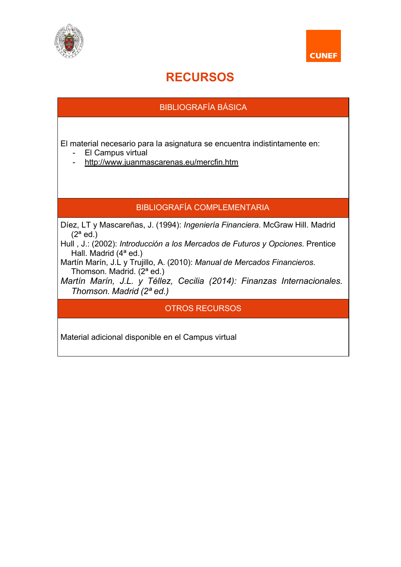



# **RECURSOS**

## BIBLIOGRAFÍA BÁSICA

El material necesario para la asignatura se encuentra indistintamente en:

- El Campus virtual
- http://www.juanmascarenas.eu/mercfin.htm

#### BIBLIOGRAFÍA COMPLEMENTARIA

Díez, LT y Mascareñas, J. (1994): *Ingeniería Financiera*. McGraw Hill. Madrid  $(2^a$  ed.)

Hull , J.: (2002): *Introducción a los Mercados de Futuros y Opciones*. Prentice Hall. Madrid (4ª ed.)

Martín Marín, J.L y Trujillo, A. (2010): *Manual de Mercados Financieros*. Thomson. Madrid.  $(2^a \text{ ed.})$ 

*Martín Marín, J.L. y Téllez, Cecilia (2014): Finanzas Internacionales. Thomson. Madrid (2ª ed.)*

OTROS RECURSOS

Material adicional disponible en el Campus virtual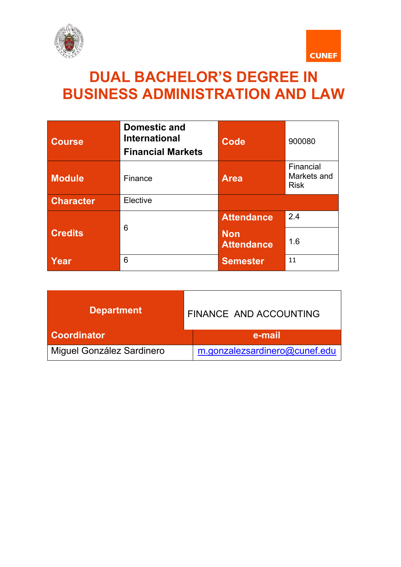



# **DUAL BACHELOR'S DEGREE IN BUSINESS ADMINISTRATION AND LAW**

| <b>Course</b>    | <b>Domestic and</b><br><b>International</b><br><b>Financial Markets</b> | <b>Code</b>                     | 900080                                  |
|------------------|-------------------------------------------------------------------------|---------------------------------|-----------------------------------------|
| <b>Module</b>    | Finance                                                                 | <b>Area</b>                     | Financial<br>Markets and<br><b>Risk</b> |
| <b>Character</b> | Elective                                                                |                                 |                                         |
|                  |                                                                         | <b>Attendance</b>               | 2.4                                     |
| <b>Credits</b>   | 6                                                                       | <b>Non</b><br><b>Attendance</b> | 1.6                                     |
| Year             | 6                                                                       | <b>Semester</b>                 | 11                                      |

| <b>Department</b>         | FINANCE AND ACCOUNTING        |  |
|---------------------------|-------------------------------|--|
| <b>Coordinator</b>        | e-mail                        |  |
| Miguel González Sardinero | m.gonzalezsardinero@cunef.edu |  |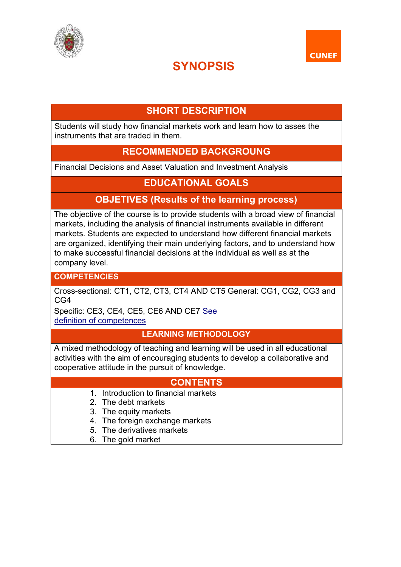



# **SYNOPSIS**

## **SHORT DESCRIPTION**

Students will study how financial markets work and learn how to asses the instruments that are traded in them.

## **RECOMMENDED BACKGROUNG**

Financial Decisions and Asset Valuation and Investment Analysis

## **EDUCATIONAL GOALS**

## **OBJETIVES (Results of the learning process)**

The objective of the course is to provide students with a broad view of financial markets, including the analysis of financial instruments available in different markets. Students are expected to understand how different financial markets are organized, identifying their main underlying factors, and to understand how to make successful financial decisions at the individual as well as at the company level.

**COMPETENCIES**

Cross-sectional: CT1, CT2, CT3, CT4 AND CT5 General: CG1, CG2, CG3 and CG4

Specific: CE3, CE4, CE5, CE6 AND CE7 See

definition of competences

#### **LEARNING METHODOLOGY**

A mixed methodology of teaching and learning will be used in all educational activities with the aim of encouraging students to develop a collaborative and cooperative attitude in the pursuit of knowledge.

#### **CONTENTS**

- 1. Introduction to financial markets
- 2. The debt markets
- 3. The equity markets
- 4. The foreign exchange markets
- 5. The derivatives markets
- 6. The gold market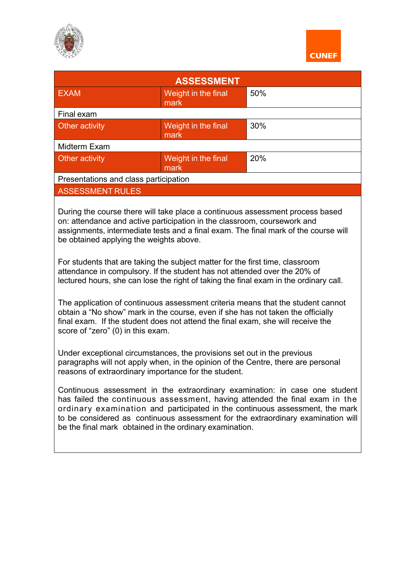



| <b>EXAM</b>                                                                                                                                                                                                                                                                                                                                                                                                                                                                                                                                                                                                                                                                                                                                                                                                                                                                                                                                                                                                                                                                                                                                                                                                                                                                                                                                                                                                                                                          | <b>ASSESSMENT</b><br>Weight in the final | 50% |  |
|----------------------------------------------------------------------------------------------------------------------------------------------------------------------------------------------------------------------------------------------------------------------------------------------------------------------------------------------------------------------------------------------------------------------------------------------------------------------------------------------------------------------------------------------------------------------------------------------------------------------------------------------------------------------------------------------------------------------------------------------------------------------------------------------------------------------------------------------------------------------------------------------------------------------------------------------------------------------------------------------------------------------------------------------------------------------------------------------------------------------------------------------------------------------------------------------------------------------------------------------------------------------------------------------------------------------------------------------------------------------------------------------------------------------------------------------------------------------|------------------------------------------|-----|--|
|                                                                                                                                                                                                                                                                                                                                                                                                                                                                                                                                                                                                                                                                                                                                                                                                                                                                                                                                                                                                                                                                                                                                                                                                                                                                                                                                                                                                                                                                      | mark                                     |     |  |
| Final exam                                                                                                                                                                                                                                                                                                                                                                                                                                                                                                                                                                                                                                                                                                                                                                                                                                                                                                                                                                                                                                                                                                                                                                                                                                                                                                                                                                                                                                                           |                                          |     |  |
| Other activity                                                                                                                                                                                                                                                                                                                                                                                                                                                                                                                                                                                                                                                                                                                                                                                                                                                                                                                                                                                                                                                                                                                                                                                                                                                                                                                                                                                                                                                       | Weight in the final<br>mark              | 30% |  |
| Midterm Exam                                                                                                                                                                                                                                                                                                                                                                                                                                                                                                                                                                                                                                                                                                                                                                                                                                                                                                                                                                                                                                                                                                                                                                                                                                                                                                                                                                                                                                                         |                                          |     |  |
| Other activity                                                                                                                                                                                                                                                                                                                                                                                                                                                                                                                                                                                                                                                                                                                                                                                                                                                                                                                                                                                                                                                                                                                                                                                                                                                                                                                                                                                                                                                       | Weight in the final<br>mark              | 20% |  |
| Presentations and class participation                                                                                                                                                                                                                                                                                                                                                                                                                                                                                                                                                                                                                                                                                                                                                                                                                                                                                                                                                                                                                                                                                                                                                                                                                                                                                                                                                                                                                                |                                          |     |  |
| <b>ASSESSMENT RULES</b>                                                                                                                                                                                                                                                                                                                                                                                                                                                                                                                                                                                                                                                                                                                                                                                                                                                                                                                                                                                                                                                                                                                                                                                                                                                                                                                                                                                                                                              |                                          |     |  |
| During the course there will take place a continuous assessment process based<br>on: attendance and active participation in the classroom, coursework and<br>assignments, intermediate tests and a final exam. The final mark of the course will<br>be obtained applying the weights above.<br>For students that are taking the subject matter for the first time, classroom<br>attendance in compulsory. If the student has not attended over the 20% of<br>lectured hours, she can lose the right of taking the final exam in the ordinary call.<br>The application of continuous assessment criteria means that the student cannot<br>obtain a "No show" mark in the course, even if she has not taken the officially<br>final exam. If the student does not attend the final exam, she will receive the<br>score of "zero" (0) in this exam.<br>Under exceptional circumstances, the provisions set out in the previous<br>paragraphs will not apply when, in the opinion of the Centre, there are personal<br>reasons of extraordinary importance for the student.<br>Continuous assessment in the extraordinary examination: in case one student<br>has failed the continuous assessment, having attended the final exam in the<br>ordinary examination and participated in the continuous assessment, the mark<br>to be considered as continuous assessment for the extraordinary examination will<br>be the final mark obtained in the ordinary examination. |                                          |     |  |